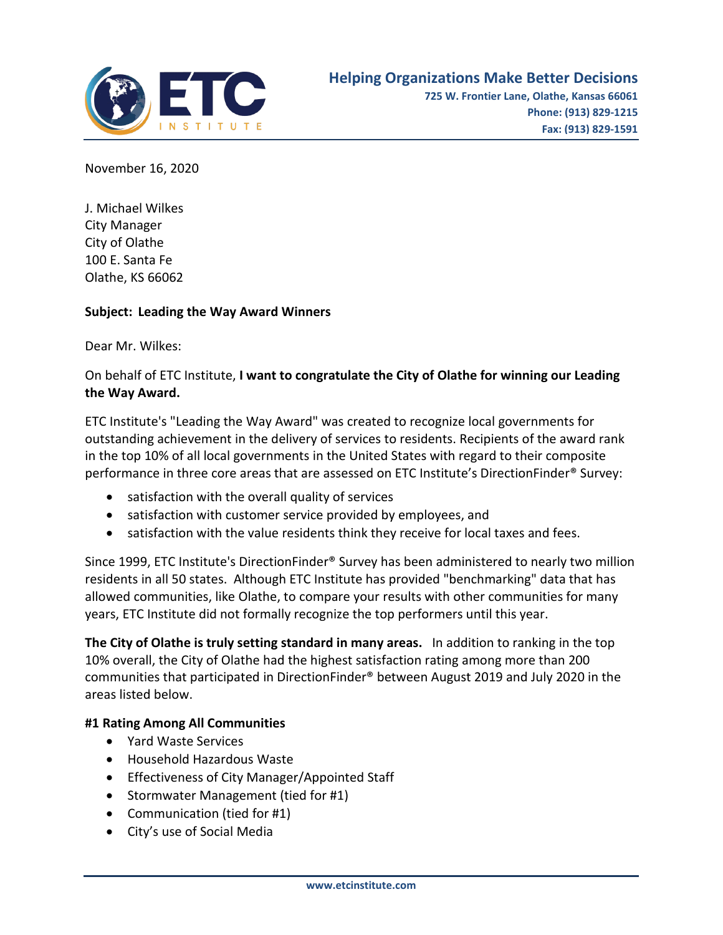

November 16, 2020

J. Michael Wilkes City Manager City of Olathe 100 E. Santa Fe Olathe, KS 66062

### **Subject: Leading the Way Award Winners**

Dear Mr. Wilkes:

## On behalf of ETC Institute, **I want to congratulate the City of Olathe for winning our Leading the Way Award.**

ETC Institute's "Leading the Way Award" was created to recognize local governments for outstanding achievement in the delivery of services to residents. Recipients of the award rank in the top 10% of all local governments in the United States with regard to their composite performance in three core areas that are assessed on ETC Institute's DirectionFinder® Survey:

- satisfaction with the overall quality of services
- satisfaction with customer service provided by employees, and
- satisfaction with the value residents think they receive for local taxes and fees.

Since 1999, ETC Institute's DirectionFinder® Survey has been administered to nearly two million residents in all 50 states. Although ETC Institute has provided "benchmarking" data that has allowed communities, like Olathe, to compare your results with other communities for many years, ETC Institute did not formally recognize the top performers until this year.

**The City of Olathe is truly setting standard in many areas.** In addition to ranking in the top 10% overall, the City of Olathe had the highest satisfaction rating among more than 200 communities that participated in DirectionFinder® between August 2019 and July 2020 in the areas listed below.

### **#1 Rating Among All Communities**

- Yard Waste Services
- Household Hazardous Waste
- Effectiveness of City Manager/Appointed Staff
- Stormwater Management (tied for #1)
- Communication (tied for #1)
- City's use of Social Media